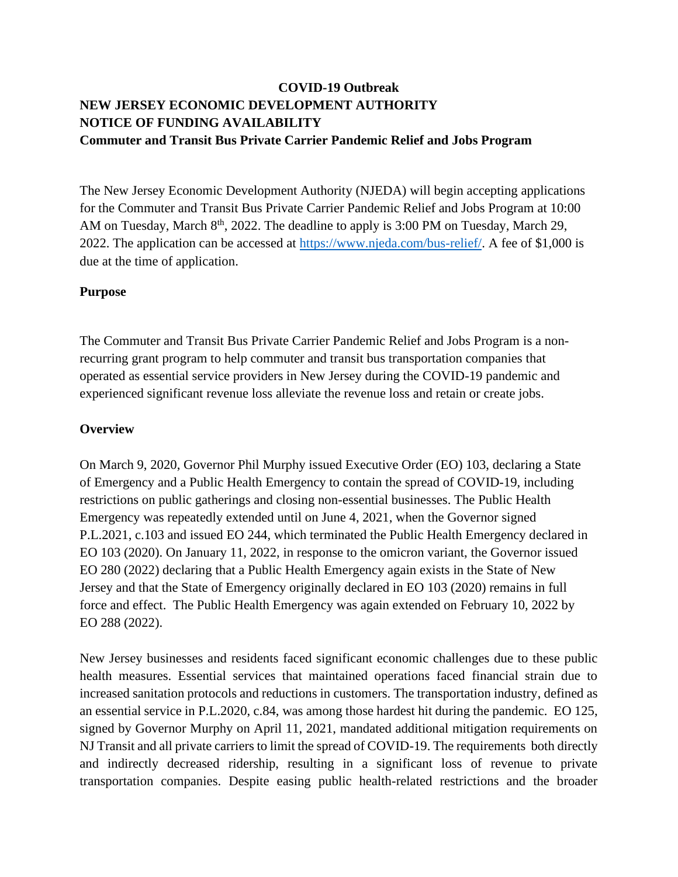# **COVID-19 Outbreak NEW JERSEY ECONOMIC DEVELOPMENT AUTHORITY NOTICE OF FUNDING AVAILABILITY Commuter and Transit Bus Private Carrier Pandemic Relief and Jobs Program**

The New Jersey Economic Development Authority (NJEDA) will begin accepting applications for the Commuter and Transit Bus Private Carrier Pandemic Relief and Jobs Program at 10:00 AM on Tuesday, March  $8<sup>th</sup>$ , 2022. The deadline to apply is 3:00 PM on Tuesday, March 29, 2022. The application can be accessed at [https://www.njeda.com/bus-relief/.](https://www.njeda.com/bus-relief/) A fee of \$1,000 is due at the time of application.

#### **Purpose**

The Commuter and Transit Bus Private Carrier Pandemic Relief and Jobs Program is a nonrecurring grant program to help commuter and transit bus transportation companies that operated as essential service providers in New Jersey during the COVID-19 pandemic and experienced significant revenue loss alleviate the revenue loss and retain or create jobs.

#### **Overview**

On March 9, 2020, Governor Phil Murphy issued Executive Order (EO) 103, declaring a State of Emergency and a Public Health Emergency to contain the spread of COVID-19, including restrictions on public gatherings and closing non-essential businesses. The Public Health Emergency was repeatedly extended until on June 4, 2021, when the Governor signed P.L.2021, c.103 and issued EO 244, which terminated the Public Health Emergency declared in EO 103 (2020). On January 11, 2022, in response to the omicron variant, the Governor issued EO 280 (2022) declaring that a Public Health Emergency again exists in the State of New Jersey and that the State of Emergency originally declared in EO 103 (2020) remains in full force and effect. The Public Health Emergency was again extended on February 10, 2022 by EO 288 (2022).

New Jersey businesses and residents faced significant economic challenges due to these public health measures. Essential services that maintained operations faced financial strain due to increased sanitation protocols and reductions in customers. The transportation industry, defined as an essential service in P.L.2020, c.84, was among those hardest hit during the pandemic. EO 125, signed by Governor Murphy on April 11, 2021, mandated additional mitigation requirements on NJ Transit and all private carriers to limit the spread of COVID-19. The requirements both directly and indirectly decreased ridership, resulting in a significant loss of revenue to private transportation companies. Despite easing public health-related restrictions and the broader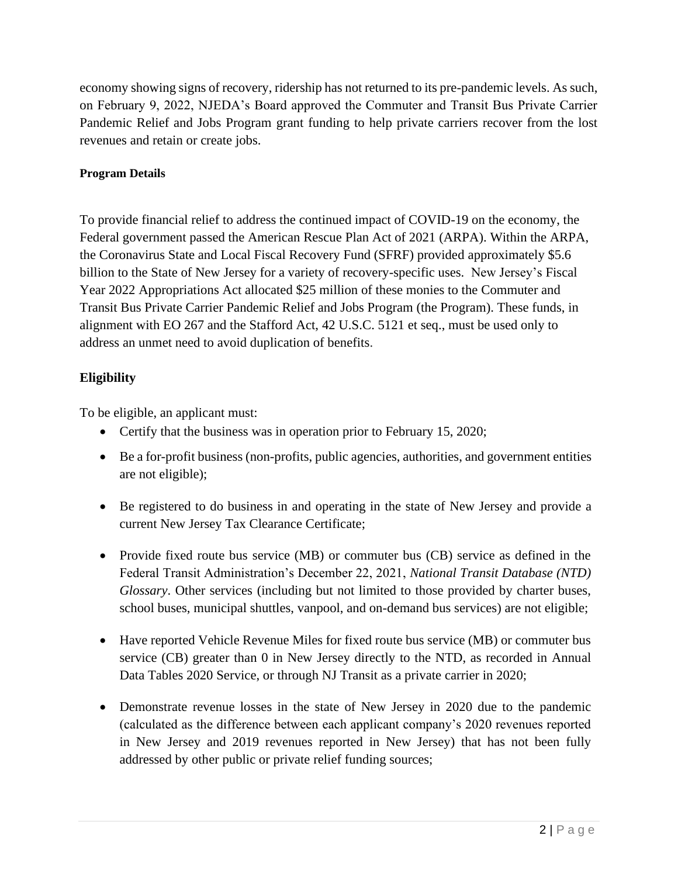economy showing signs of recovery, ridership has not returned to its pre-pandemic levels. As such, on February 9, 2022, NJEDA's Board approved the Commuter and Transit Bus Private Carrier Pandemic Relief and Jobs Program grant funding to help private carriers recover from the lost revenues and retain or create jobs.

### **Program Details**

To provide financial relief to address the continued impact of COVID-19 on the economy, the Federal government passed the American Rescue Plan Act of 2021 (ARPA). Within the ARPA, the Coronavirus State and Local Fiscal Recovery Fund (SFRF) provided approximately \$5.6 billion to the State of New Jersey for a variety of recovery-specific uses. New Jersey's Fiscal Year 2022 Appropriations Act allocated \$25 million of these monies to the Commuter and Transit Bus Private Carrier Pandemic Relief and Jobs Program (the Program). These funds, in alignment with EO 267 and the Stafford Act, 42 U.S.C. 5121 et seq., must be used only to address an unmet need to avoid duplication of benefits.

# **Eligibility**

To be eligible, an applicant must:

- Certify that the business was in operation prior to February 15, 2020;
- Be a for-profit business (non-profits, public agencies, authorities, and government entities are not eligible);
- Be registered to do business in and operating in the state of New Jersey and provide a current New Jersey Tax Clearance Certificate;
- Provide fixed route bus service (MB) or commuter bus (CB) service as defined in the Federal Transit Administration's December 22, 2021, *National Transit Database (NTD) Glossary*. Other services (including but not limited to those provided by charter buses, school buses, municipal shuttles, vanpool, and on-demand bus services) are not eligible;
- Have reported Vehicle Revenue Miles for fixed route bus service (MB) or commuter bus service (CB) greater than 0 in New Jersey directly to the NTD, as recorded in Annual Data Tables 2020 Service, or through NJ Transit as a private carrier in 2020;
- Demonstrate revenue losses in the state of New Jersey in 2020 due to the pandemic (calculated as the difference between each applicant company's 2020 revenues reported in New Jersey and 2019 revenues reported in New Jersey) that has not been fully addressed by other public or private relief funding sources;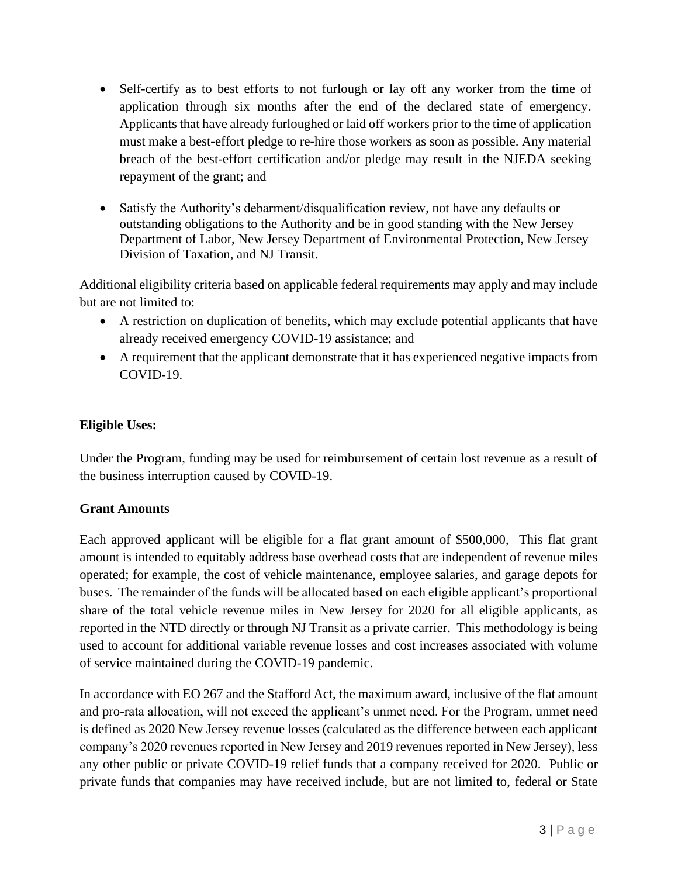- Self-certify as to best efforts to not furlough or lay off any worker from the time of application through six months after the end of the declared state of emergency. Applicants that have already furloughed or laid off workers prior to the time of application must make a best-effort pledge to re-hire those workers as soon as possible. Any material breach of the best-effort certification and/or pledge may result in the NJEDA seeking repayment of the grant; and
- Satisfy the Authority's debarment/disqualification review, not have any defaults or outstanding obligations to the Authority and be in good standing with the New Jersey Department of Labor, New Jersey Department of Environmental Protection, New Jersey Division of Taxation, and NJ Transit.

Additional eligibility criteria based on applicable federal requirements may apply and may include but are not limited to:

- A restriction on duplication of benefits, which may exclude potential applicants that have already received emergency COVID-19 assistance; and
- A requirement that the applicant demonstrate that it has experienced negative impacts from COVID-19.

## **Eligible Uses:**

Under the Program, funding may be used for reimbursement of certain lost revenue as a result of the business interruption caused by COVID-19.

### **Grant Amounts**

Each approved applicant will be eligible for a flat grant amount of \$500,000, This flat grant amount is intended to equitably address base overhead costs that are independent of revenue miles operated; for example, the cost of vehicle maintenance, employee salaries, and garage depots for buses. The remainder of the funds will be allocated based on each eligible applicant's proportional share of the total vehicle revenue miles in New Jersey for 2020 for all eligible applicants, as reported in the NTD directly or through NJ Transit as a private carrier. This methodology is being used to account for additional variable revenue losses and cost increases associated with volume of service maintained during the COVID-19 pandemic.

In accordance with EO 267 and the Stafford Act, the maximum award, inclusive of the flat amount and pro-rata allocation, will not exceed the applicant's unmet need. For the Program, unmet need is defined as 2020 New Jersey revenue losses (calculated as the difference between each applicant company's 2020 revenues reported in New Jersey and 2019 revenues reported in New Jersey), less any other public or private COVID-19 relief funds that a company received for 2020. Public or private funds that companies may have received include, but are not limited to, federal or State